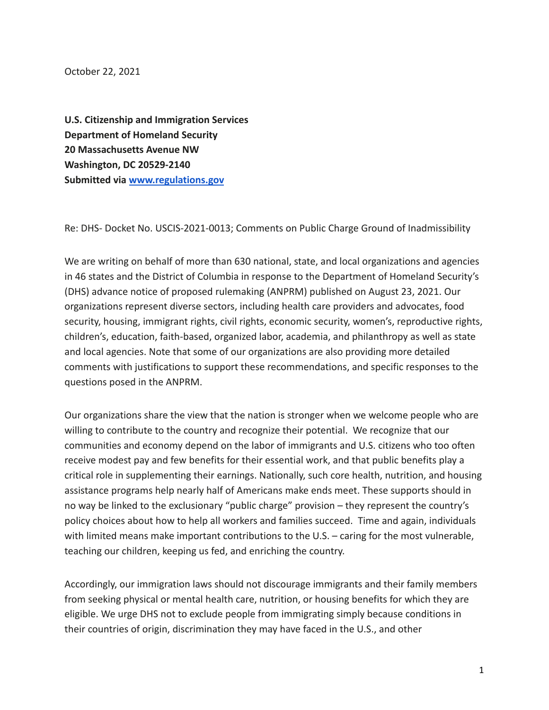October 22, 2021

**U.S. Citizenship and Immigration Services Department of Homeland Security 20 Massachusetts Avenue NW Washington, DC 20529-2140 Submitted via [www.regulations.gov](http://www.regulations.gov)**

Re: DHS- Docket No. USCIS-2021-0013; Comments on Public Charge Ground of Inadmissibility

We are writing on behalf of more than 630 national, state, and local organizations and agencies in 46 states and the District of Columbia in response to the Department of Homeland Security's (DHS) advance notice of proposed rulemaking (ANPRM) published on August 23, 2021. Our organizations represent diverse sectors, including health care providers and advocates, food security, housing, immigrant rights, civil rights, economic security, women's, reproductive rights, children's, education, faith-based, organized labor, academia, and philanthropy as well as state and local agencies. Note that some of our organizations are also providing more detailed comments with justifications to support these recommendations, and specific responses to the questions posed in the ANPRM.

Our organizations share the view that the nation is stronger when we welcome people who are willing to contribute to the country and recognize their potential. We recognize that our communities and economy depend on the labor of immigrants and U.S. citizens who too often receive modest pay and few benefits for their essential work, and that public benefits play a critical role in supplementing their earnings. Nationally, such core health, nutrition, and housing assistance programs help nearly half of Americans make ends meet. These supports should in no way be linked to the exclusionary "public charge" provision – they represent the country's policy choices about how to help all workers and families succeed. Time and again, individuals with limited means make important contributions to the U.S. – caring for the most vulnerable, teaching our children, keeping us fed, and enriching the country.

Accordingly, our immigration laws should not discourage immigrants and their family members from seeking physical or mental health care, nutrition, or housing benefits for which they are eligible. We urge DHS not to exclude people from immigrating simply because conditions in their countries of origin, discrimination they may have faced in the U.S., and other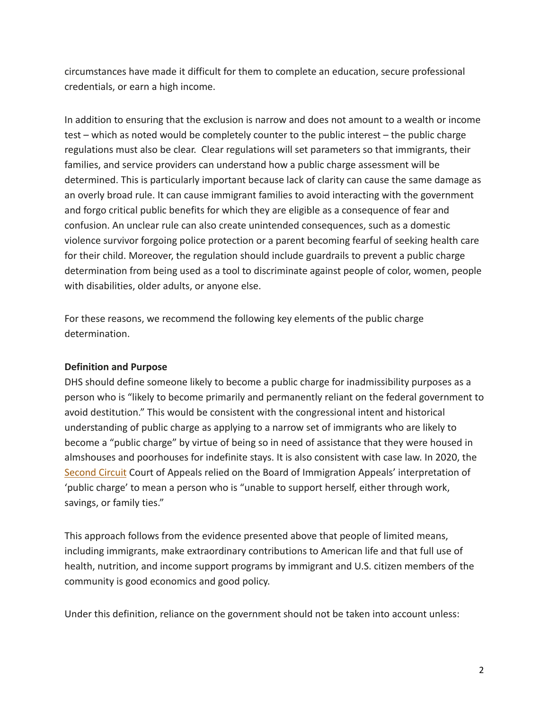circumstances have made it difficult for them to complete an education, secure professional credentials, or earn a high income.

In addition to ensuring that the exclusion is narrow and does not amount to a wealth or income test – which as noted would be completely counter to the public interest – the public charge regulations must also be clear. Clear regulations will set parameters so that immigrants, their families, and service providers can understand how a public charge assessment will be determined. This is particularly important because lack of clarity can cause the same damage as an overly broad rule. It can cause immigrant families to avoid interacting with the government and forgo critical public benefits for which they are eligible as a consequence of fear and confusion. An unclear rule can also create unintended consequences, such as a domestic violence survivor forgoing police protection or a parent becoming fearful of seeking health care for their child. Moreover, the regulation should include guardrails to prevent a public charge determination from being used as a tool to discriminate against people of color, women, people with disabilities, older adults, or anyone else.

For these reasons, we recommend the following key elements of the public charge determination.

### **Definition and Purpose**

DHS should define someone likely to become a public charge for inadmissibility purposes as a person who is "likely to become primarily and permanently reliant on the federal government to avoid destitution." This would be consistent with the congressional intent and historical understanding of public charge as applying to a narrow set of immigrants who are likely to become a "public charge" by virtue of being so in need of assistance that they were housed in almshouses and poorhouses for indefinite stays. It is also consistent with case law. In 2020, the [Second Circuit](https://ag.ny.gov/sites/default/files/ca2_opinion_-_public_charge.pdf) Court of Appeals relied on the Board of Immigration Appeals' interpretation of 'public charge' to mean a person who is "unable to support herself, either through work, savings, or family ties."

This approach follows from the evidence presented above that people of limited means, including immigrants, make extraordinary contributions to American life and that full use of health, nutrition, and income support programs by immigrant and U.S. citizen members of the community is good economics and good policy.

Under this definition, reliance on the government should not be taken into account unless: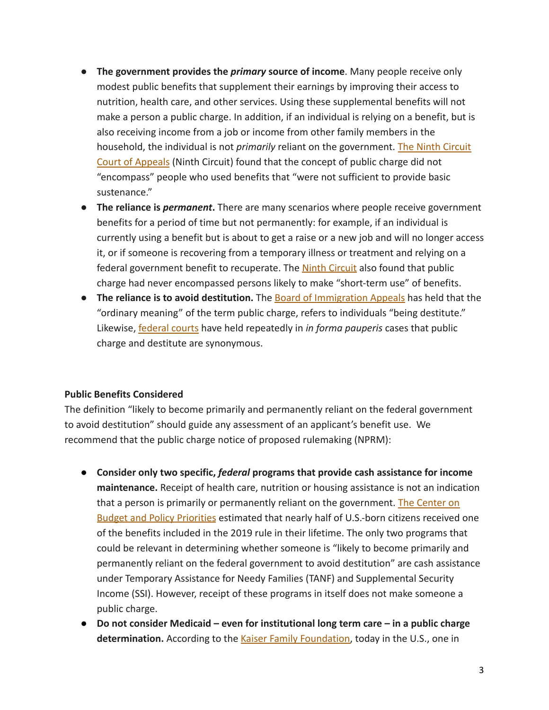- **The government provides the** *primary* **source of income**. Many people receive only modest public benefits that supplement their earnings by improving their access to nutrition, health care, and other services. Using these supplemental benefits will not make a person a public charge. In addition, if an individual is relying on a benefit, but is also receiving income from a job or income from other family members in the household, the individual is not *primarily* reliant on the government. [The Ninth Circuit](https://cdn.ca9.uscourts.gov/datastore/opinions/2020/12/02/19-17213.pdf) [Court of Appeals](https://cdn.ca9.uscourts.gov/datastore/opinions/2020/12/02/19-17213.pdf) (Ninth Circuit) found that the concept of public charge did not "encompass" people who used benefits that "were not sufficient to provide basic sustenance."
- **The reliance is** *permanent***.** There are many scenarios where people receive government benefits for a period of time but not permanently: for example, if an individual is currently using a benefit but is about to get a raise or a new job and will no longer access it, or if someone is recovering from a temporary illness or treatment and relying on a federal government benefit to recuperate. The **Ninth [Circuit](https://cdn.ca9.uscourts.gov/datastore/opinions/2020/12/02/19-17213.pdf)** also found that public charge had never encompassed persons likely to make "short-term use" of benefits.
- **The reliance is to avoid destitution.** The **Board of [Immigration Appeals](https://www.justice.gov/sites/default/files/eoir/legacy/2012/08/17/2263.pdf)** has held that the "ordinary meaning" of the term public charge, refers to individuals "being destitute." Likewise, [federal courts](https://casetext.com/case/martinez-v-kristi-kleaners-inc) have held repeatedly in *in forma pauperis* cases that public charge and destitute are synonymous.

# **Public Benefits Considered**

The definition "likely to become primarily and permanently reliant on the federal government to avoid destitution" should guide any assessment of an applicant's benefit use. We recommend that the public charge notice of proposed rulemaking (NPRM):

- **Consider only two specific,** *federal* **programs that provide cash assistance for income maintenance.** Receipt of health care, nutrition or housing assistance is not an indication that a person is primarily or permanently reliant on the government. [The Center on](https://www.cbpp.org/research/immigration/administrations-public-charge-rules-would-close-the-door-to-us-to-immigrants) [Budget and Policy Priorities](https://www.cbpp.org/research/immigration/administrations-public-charge-rules-would-close-the-door-to-us-to-immigrants) estimated that nearly half of U.S.-born citizens received one of the benefits included in the 2019 rule in their lifetime. The only two programs that could be relevant in determining whether someone is "likely to become primarily and permanently reliant on the federal government to avoid destitution" are cash assistance under Temporary Assistance for Needy Families (TANF) and Supplemental Security Income (SSI). However, receipt of these programs in itself does not make someone a public charge.
- **Do not consider Medicaid even for institutional long term care in a public charge determination.** According to the [Kaiser Family Foundation,](https://files.kff.org/attachment/Infographic-Medicaids-Role-in-Nursing-Home-Care) today in the U.S., one in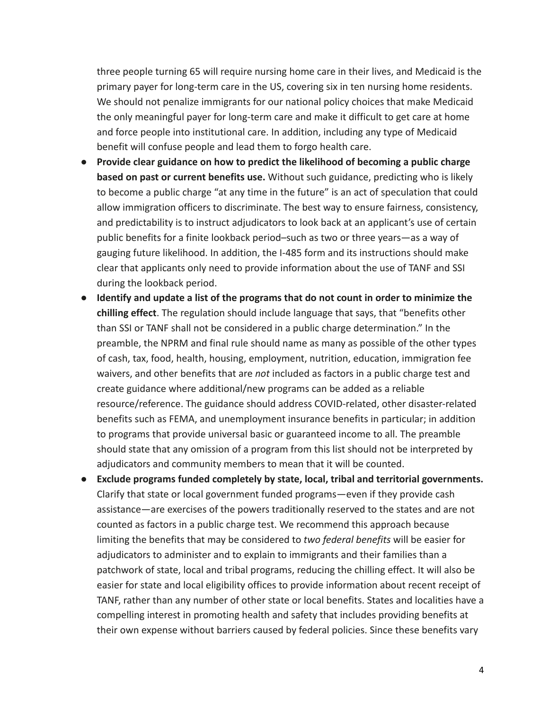three people turning 65 will require nursing home care in their lives, and Medicaid is the primary payer for long-term care in the US, covering six in ten nursing home residents. We should not penalize immigrants for our national policy choices that make Medicaid the only meaningful payer for long-term care and make it difficult to get care at home and force people into institutional care. In addition, including any type of Medicaid benefit will confuse people and lead them to forgo health care.

- **Provide clear guidance on how to predict the likelihood of becoming a public charge based on past or current benefits use.** Without such guidance, predicting who is likely to become a public charge "at any time in the future" is an act of speculation that could allow immigration officers to discriminate. The best way to ensure fairness, consistency, and predictability is to instruct adjudicators to look back at an applicant's use of certain public benefits for a finite lookback period–such as two or three years—as a way of gauging future likelihood. In addition, the I-485 form and its instructions should make clear that applicants only need to provide information about the use of TANF and SSI during the lookback period.
- **Identify and update a list of the programs that do not count in order to minimize the chilling effect**. The regulation should include language that says, that "benefits other than SSI or TANF shall not be considered in a public charge determination." In the preamble, the NPRM and final rule should name as many as possible of the other types of cash, tax, food, health, housing, employment, nutrition, education, immigration fee waivers, and other benefits that are *not* included as factors in a public charge test and create guidance where additional/new programs can be added as a reliable resource/reference. The guidance should address COVID-related, other disaster-related benefits such as FEMA, and unemployment insurance benefits in particular; in addition to programs that provide universal basic or guaranteed income to all. The preamble should state that any omission of a program from this list should not be interpreted by adjudicators and community members to mean that it will be counted.
- **Exclude programs funded completely by state, local, tribal and territorial governments.** Clarify that state or local government funded programs—even if they provide cash assistance—are exercises of the powers traditionally reserved to the states and are not counted as factors in a public charge test. We recommend this approach because limiting the benefits that may be considered to *two federal benefits* will be easier for adjudicators to administer and to explain to immigrants and their families than a patchwork of state, local and tribal programs, reducing the chilling effect. It will also be easier for state and local eligibility offices to provide information about recent receipt of TANF, rather than any number of other state or local benefits. States and localities have a compelling interest in promoting health and safety that includes providing benefits at their own expense without barriers caused by federal policies. Since these benefits vary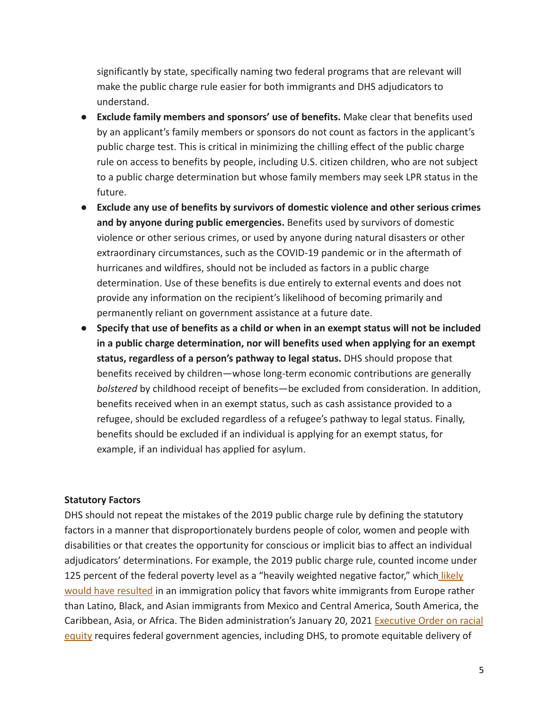significantly by state, specifically naming two federal programs that are relevant will make the public charge rule easier for both immigrants and DHS adjudicators to understand.

- **Exclude family members and sponsors' use of benefits.** Make clear that benefits used by an applicant's family members or sponsors do not count as factors in the applicant's public charge test. This is critical in minimizing the chilling effect of the public charge rule on access to benefits by people, including U.S. citizen children, who are not subject to a public charge determination but whose family members may seek LPR status in the future.
- **Exclude any use of benefits by survivors of domestic violence and other serious crimes and by anyone during public emergencies.** Benefits used by survivors of domestic violence or other serious crimes, or used by anyone during natural disasters or other extraordinary circumstances, such as the COVID-19 pandemic or in the aftermath of hurricanes and wildfires, should not be included as factors in a public charge determination. Use of these benefits is due entirely to external events and does not provide any information on the recipient's likelihood of becoming primarily and permanently reliant on government assistance at a future date.
- **Specify that use of benefits as a child or when in an exempt status will not be included in a public charge determination, nor will benefits used when applying for an exempt status, regardless of a person's pathway to legal status.** DHS should propose that benefits received by children—whose long-term economic contributions are generally *bolstered* by childhood receipt of benefits—be excluded from consideration. In addition, benefits received when in an exempt status, such as cash assistance provided to a refugee, should be excluded regardless of a refugee's pathway to legal status. Finally, benefits should be excluded if an individual is applying for an exempt status, for example, if an individual has applied for asylum.

### **Statutory Factors**

DHS should not repeat the mistakes of the 2019 public charge rule by defining the statutory factors in a manner that disproportionately burdens people of color, women and people with disabilities or that creates the opportunity for conscious or implicit bias to affect an individual adjudicators' determinations. For example, the 2019 public charge rule, counted income under 125 percent of the federal poverty level as a "heavily weighted negative factor," which [likely](https://www.migrationpolicy.org/research/impact-dhs-public-charge-rule-immigration) [would have resulted](https://www.migrationpolicy.org/research/impact-dhs-public-charge-rule-immigration) in an immigration policy that favors white immigrants from Europe rather than Latino, Black, and Asian immigrants from Mexico and Central America, South America, the Caribbean, Asia, or Africa. The Biden administration's January 20, 2021 [Executive Order on racial](https://www.whitehouse.gov/briefing-room/presidential-actions/2021/01/20/executive-order-advancing-racial-equity-and-support-for-underserved-communities-through-the-federal-government/) [equity](https://www.whitehouse.gov/briefing-room/presidential-actions/2021/01/20/executive-order-advancing-racial-equity-and-support-for-underserved-communities-through-the-federal-government/) requires federal government agencies, including DHS, to promote equitable delivery of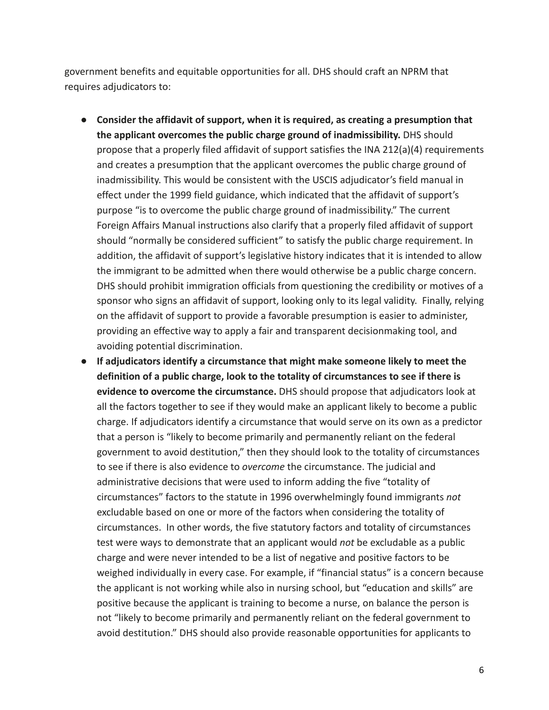government benefits and equitable opportunities for all. DHS should craft an NPRM that requires adjudicators to:

- **Consider the affidavit of support, when it is required, as creating a presumption that the applicant overcomes the public charge ground of inadmissibility.** DHS should propose that a properly filed affidavit of support satisfies the INA 212(a)(4) requirements and creates a presumption that the applicant overcomes the public charge ground of inadmissibility. This would be consistent with the USCIS adjudicator's field manual in effect under the 1999 field guidance, which indicated that the affidavit of support's purpose "is to overcome the public charge ground of inadmissibility." The current Foreign Affairs Manual instructions also clarify that a properly filed affidavit of support should "normally be considered sufficient" to satisfy the public charge requirement. In addition, the affidavit of support's legislative history indicates that it is intended to allow the immigrant to be admitted when there would otherwise be a public charge concern. DHS should prohibit immigration officials from questioning the credibility or motives of a sponsor who signs an affidavit of support, looking only to its legal validity. Finally, relying on the affidavit of support to provide a favorable presumption is easier to administer, providing an effective way to apply a fair and transparent decisionmaking tool, and avoiding potential discrimination.
- **If adjudicators identify a circumstance that might make someone likely to meet the definition of a public charge, look to the totality of circumstances to see if there is evidence to overcome the circumstance.** DHS should propose that adjudicators look at all the factors together to see if they would make an applicant likely to become a public charge. If adjudicators identify a circumstance that would serve on its own as a predictor that a person is "likely to become primarily and permanently reliant on the federal government to avoid destitution," then they should look to the totality of circumstances to see if there is also evidence to *overcome* the circumstance. The judicial and administrative decisions that were used to inform adding the five "totality of circumstances" factors to the statute in 1996 overwhelmingly found immigrants *not* excludable based on one or more of the factors when considering the totality of circumstances. In other words, the five statutory factors and totality of circumstances test were ways to demonstrate that an applicant would *not* be excludable as a public charge and were never intended to be a list of negative and positive factors to be weighed individually in every case. For example, if "financial status" is a concern because the applicant is not working while also in nursing school, but "education and skills" are positive because the applicant is training to become a nurse, on balance the person is not "likely to become primarily and permanently reliant on the federal government to avoid destitution." DHS should also provide reasonable opportunities for applicants to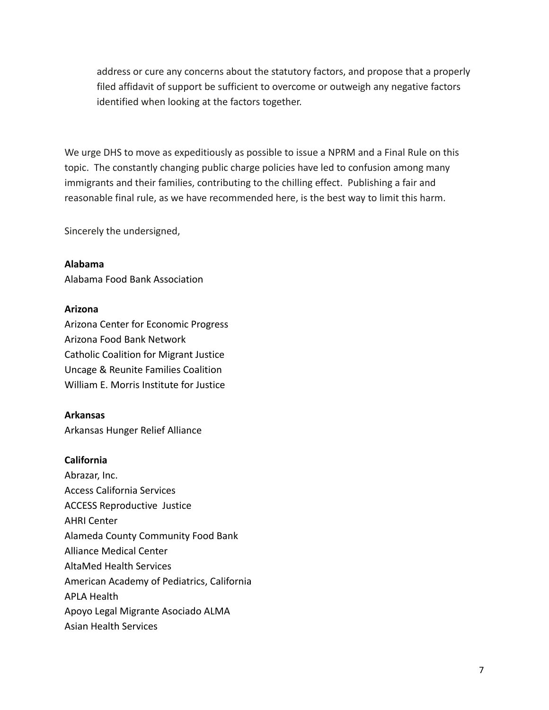address or cure any concerns about the statutory factors, and propose that a properly filed affidavit of support be sufficient to overcome or outweigh any negative factors identified when looking at the factors together.

We urge DHS to move as expeditiously as possible to issue a NPRM and a Final Rule on this topic. The constantly changing public charge policies have led to confusion among many immigrants and their families, contributing to the chilling effect. Publishing a fair and reasonable final rule, as we have recommended here, is the best way to limit this harm.

Sincerely the undersigned,

### **Alabama**

Alabama Food Bank Association

#### **Arizona**

Arizona Center for Economic Progress Arizona Food Bank Network Catholic Coalition for Migrant Justice Uncage & Reunite Families Coalition William E. Morris Institute for Justice

### **Arkansas**

Arkansas Hunger Relief Alliance

#### **California**

Abrazar, Inc. Access California Services ACCESS Reproductive Justice AHRI Center Alameda County Community Food Bank Alliance Medical Center AltaMed Health Services American Academy of Pediatrics, California APLA Health Apoyo Legal Migrante Asociado ALMA Asian Health Services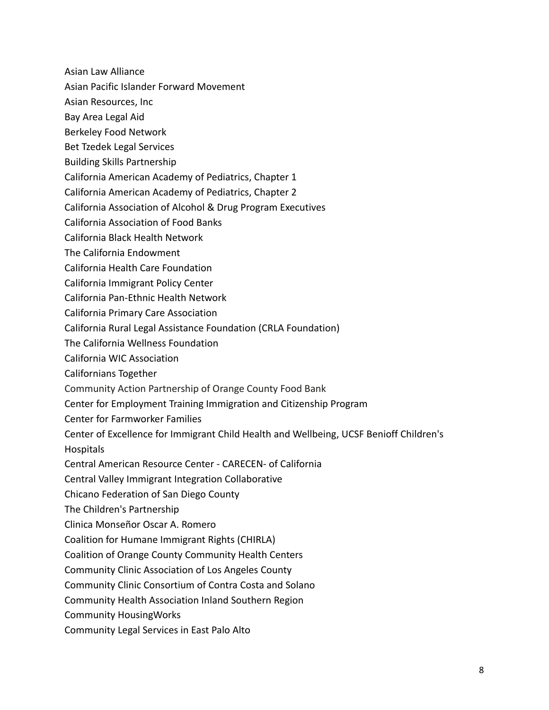- Asian Law Alliance
- Asian Pacific Islander Forward Movement
- Asian Resources, Inc
- Bay Area Legal Aid
- Berkeley Food Network
- Bet Tzedek Legal Services
- Building Skills Partnership
- California American Academy of Pediatrics, Chapter 1
- California American Academy of Pediatrics, Chapter 2
- California Association of Alcohol & Drug Program Executives
- California Association of Food Banks
- California Black Health Network
- The California Endowment
- California Health Care Foundation
- California Immigrant Policy Center
- California Pan-Ethnic Health Network
- California Primary Care Association
- California Rural Legal Assistance Foundation (CRLA Foundation)
- The California Wellness Foundation
- California WIC Association
- Californians Together
- Community Action Partnership of Orange County Food Bank
- Center for Employment Training Immigration and Citizenship Program
- Center for Farmworker Families
- Center of Excellence for Immigrant Child Health and Wellbeing, UCSF Benioff Children's Hospitals
- Central American Resource Center CARECEN- of California
- Central Valley Immigrant Integration Collaborative
- Chicano Federation of San Diego County
- The Children's Partnership
- Clinica Monseñor Oscar A. Romero
- Coalition for Humane Immigrant Rights (CHIRLA)
- Coalition of Orange County Community Health Centers
- Community Clinic Association of Los Angeles County
- Community Clinic Consortium of Contra Costa and Solano
- Community Health Association Inland Southern Region
- Community HousingWorks
- Community Legal Services in East Palo Alto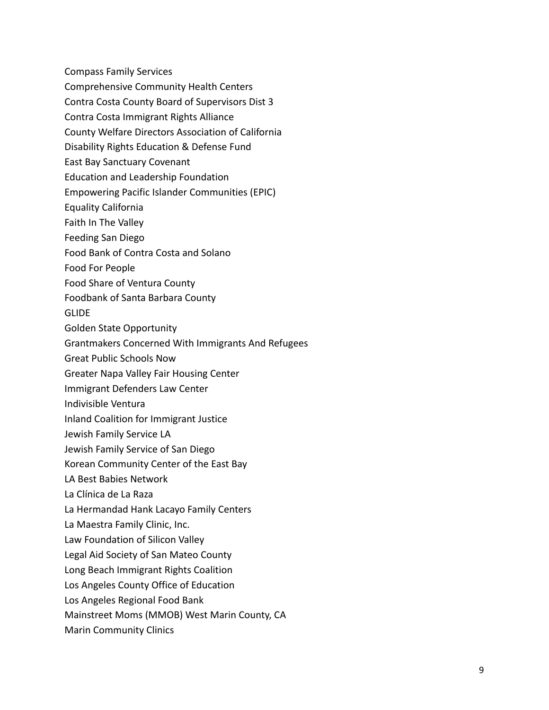- Compass Family Services
- Comprehensive Community Health Centers
- Contra Costa County Board of Supervisors Dist 3
- Contra Costa Immigrant Rights Alliance
- County Welfare Directors Association of California
- Disability Rights Education & Defense Fund
- East Bay Sanctuary Covenant
- Education and Leadership Foundation
- Empowering Pacific Islander Communities (EPIC)
- Equality California
- Faith In The Valley
- Feeding San Diego
- Food Bank of Contra Costa and Solano
- Food For People
- Food Share of Ventura County
- Foodbank of Santa Barbara County

**GLIDE** 

- Golden State Opportunity
- Grantmakers Concerned With Immigrants And Refugees
- Great Public Schools Now
- Greater Napa Valley Fair Housing Center
- Immigrant Defenders Law Center
- Indivisible Ventura
- Inland Coalition for Immigrant Justice
- Jewish Family Service LA
- Jewish Family Service of San Diego
- Korean Community Center of the East Bay
- LA Best Babies Network
- La Clínica de La Raza
- La Hermandad Hank Lacayo Family Centers
- La Maestra Family Clinic, Inc.
- Law Foundation of Silicon Valley
- Legal Aid Society of San Mateo County
- Long Beach Immigrant Rights Coalition
- Los Angeles County Office of Education
- Los Angeles Regional Food Bank
- Mainstreet Moms (MMOB) West Marin County, CA
- Marin Community Clinics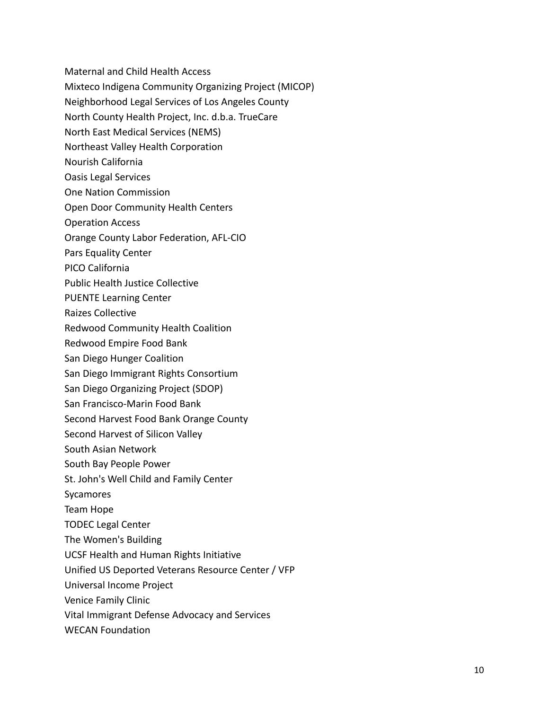- Maternal and Child Health Access
- Mixteco Indigena Community Organizing Project (MICOP)
- Neighborhood Legal Services of Los Angeles County
- North County Health Project, Inc. d.b.a. TrueCare
- North East Medical Services (NEMS)
- Northeast Valley Health Corporation
- Nourish California
- Oasis Legal Services
- One Nation Commission
- Open Door Community Health Centers
- Operation Access
- Orange County Labor Federation, AFL-CIO
- Pars Equality Center
- PICO California
- Public Health Justice Collective
- PUENTE Learning Center
- Raizes Collective
- Redwood Community Health Coalition
- Redwood Empire Food Bank
- San Diego Hunger Coalition
- San Diego Immigrant Rights Consortium
- San Diego Organizing Project (SDOP)
- San Francisco-Marin Food Bank
- Second Harvest Food Bank Orange County
- Second Harvest of Silicon Valley
- South Asian Network
- South Bay People Power
- St. John's Well Child and Family Center
- Sycamores
- Team Hope
- TODEC Legal Center
- The Women's Building
- UCSF Health and Human Rights Initiative
- Unified US Deported Veterans Resource Center / VFP
- Universal Income Project
- Venice Family Clinic
- Vital Immigrant Defense Advocacy and Services
- WECAN Foundation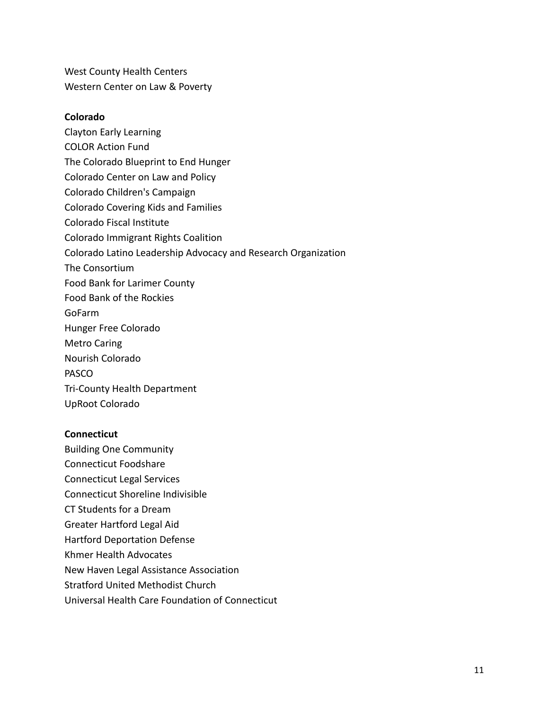West County Health Centers Western Center on Law & Poverty

#### **Colorado**

Clayton Early Learning COLOR Action Fund The Colorado Blueprint to End Hunger Colorado Center on Law and Policy Colorado Children's Campaign Colorado Covering Kids and Families Colorado Fiscal Institute Colorado Immigrant Rights Coalition Colorado Latino Leadership Advocacy and Research Organization The Consortium Food Bank for Larimer County Food Bank of the Rockies GoFarm Hunger Free Colorado Metro Caring Nourish Colorado PASCO Tri-County Health Department UpRoot Colorado

### **Connecticut**

Building One Community Connecticut Foodshare Connecticut Legal Services Connecticut Shoreline Indivisible CT Students for a Dream Greater Hartford Legal Aid Hartford Deportation Defense Khmer Health Advocates New Haven Legal Assistance Association Stratford United Methodist Church Universal Health Care Foundation of Connecticut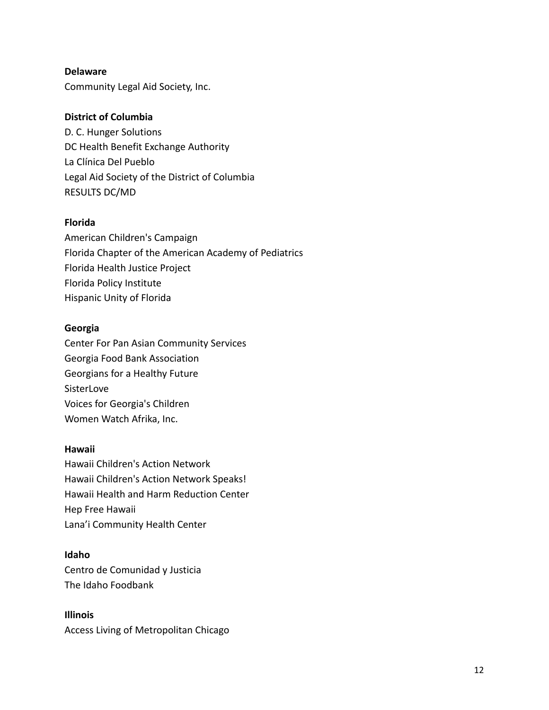### **Delaware**

Community Legal Aid Society, Inc.

## **District of Columbia**

D. C. Hunger Solutions DC Health Benefit Exchange Authority La Clínica Del Pueblo Legal Aid Society of the District of Columbia RESULTS DC/MD

## **Florida**

American Children's Campaign Florida Chapter of the American Academy of Pediatrics Florida Health Justice Project Florida Policy Institute Hispanic Unity of Florida

## **Georgia**

Center For Pan Asian Community Services Georgia Food Bank Association Georgians for a Healthy Future SisterLove Voices for Georgia's Children Women Watch Afrika, Inc.

### **Hawaii**

Hawaii Children's Action Network Hawaii Children's Action Network Speaks! Hawaii Health and Harm Reduction Center Hep Free Hawaii Lana'i Community Health Center

# **Idaho**

Centro de Comunidad y Justicia The Idaho Foodbank

**Illinois** Access Living of Metropolitan Chicago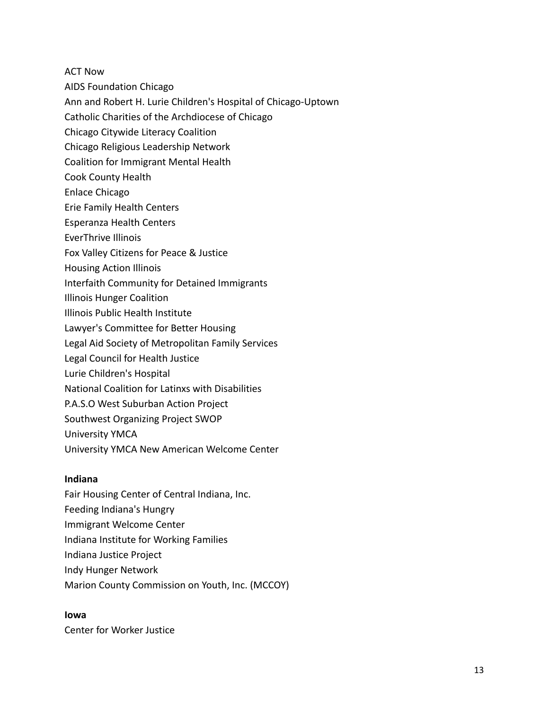ACT Now

- AIDS Foundation Chicago
- Ann and Robert H. Lurie Children's Hospital of Chicago-Uptown
- Catholic Charities of the Archdiocese of Chicago
- Chicago Citywide Literacy Coalition
- Chicago Religious Leadership Network
- Coalition for Immigrant Mental Health
- Cook County Health
- Enlace Chicago
- Erie Family Health Centers
- Esperanza Health Centers
- EverThrive Illinois
- Fox Valley Citizens for Peace & Justice
- Housing Action Illinois
- Interfaith Community for Detained Immigrants
- Illinois Hunger Coalition
- Illinois Public Health Institute
- Lawyer's Committee for Better Housing
- Legal Aid Society of Metropolitan Family Services
- Legal Council for Health Justice
- Lurie Children's Hospital
- National Coalition for Latinxs with Disabilities
- P.A.S.O West Suburban Action Project
- Southwest Organizing Project SWOP
- University YMCA
- University YMCA New American Welcome Center

### **Indiana**

- Fair Housing Center of Central Indiana, Inc.
- Feeding Indiana's Hungry
- Immigrant Welcome Center
- Indiana Institute for Working Families
- Indiana Justice Project
- Indy Hunger Network
- Marion County Commission on Youth, Inc. (MCCOY)

#### **Iowa**

Center for Worker Justice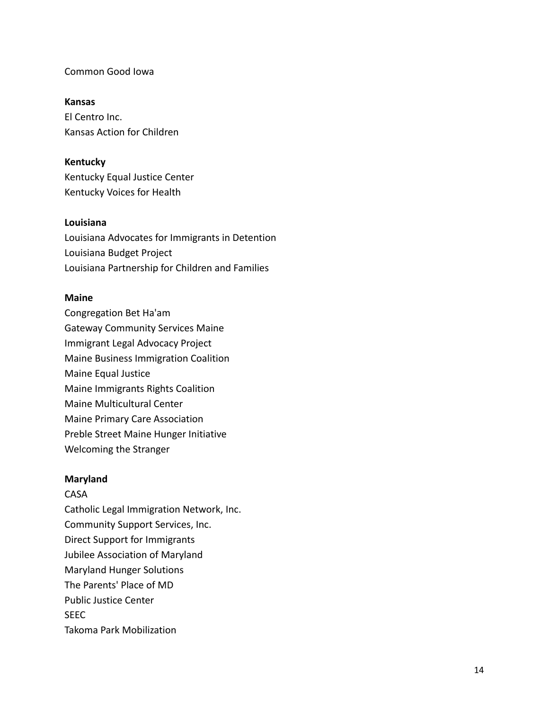### Common Good Iowa

### **Kansas**

El Centro Inc. Kansas Action for Children

## **Kentucky**

Kentucky Equal Justice Center Kentucky Voices for Health

#### **Louisiana**

Louisiana Advocates for Immigrants in Detention Louisiana Budget Project Louisiana Partnership for Children and Families

### **Maine**

Congregation Bet Ha'am Gateway Community Services Maine Immigrant Legal Advocacy Project Maine Business Immigration Coalition Maine Equal Justice Maine Immigrants Rights Coalition Maine Multicultural Center Maine Primary Care Association Preble Street Maine Hunger Initiative Welcoming the Stranger

### **Maryland**

CASA Catholic Legal Immigration Network, Inc. Community Support Services, Inc. Direct Support for Immigrants Jubilee Association of Maryland Maryland Hunger Solutions The Parents' Place of MD Public Justice Center SEEC Takoma Park Mobilization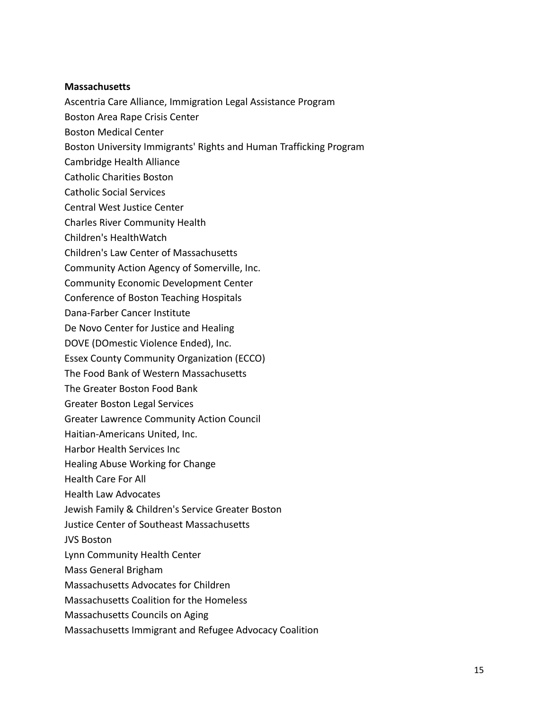### **Massachusetts**

Ascentria Care Alliance, Immigration Legal Assistance Program

- Boston Area Rape Crisis Center
- Boston Medical Center
- Boston University Immigrants' Rights and Human Trafficking Program
- Cambridge Health Alliance
- Catholic Charities Boston
- Catholic Social Services
- Central West Justice Center
- Charles River Community Health
- Children's HealthWatch
- Children's Law Center of Massachusetts
- Community Action Agency of Somerville, Inc.
- Community Economic Development Center
- Conference of Boston Teaching Hospitals
- Dana-Farber Cancer Institute
- De Novo Center for Justice and Healing
- DOVE (DOmestic Violence Ended), Inc.
- Essex County Community Organization (ECCO)
- The Food Bank of Western Massachusetts
- The Greater Boston Food Bank
- Greater Boston Legal Services
- Greater Lawrence Community Action Council
- Haitian-Americans United, Inc.
- Harbor Health Services Inc
- Healing Abuse Working for Change
- Health Care For All
- Health Law Advocates
- Jewish Family & Children's Service Greater Boston
- Justice Center of Southeast Massachusetts
- JVS Boston
- Lynn Community Health Center
- Mass General Brigham
- Massachusetts Advocates for Children
- Massachusetts Coalition for the Homeless
- Massachusetts Councils on Aging
- Massachusetts Immigrant and Refugee Advocacy Coalition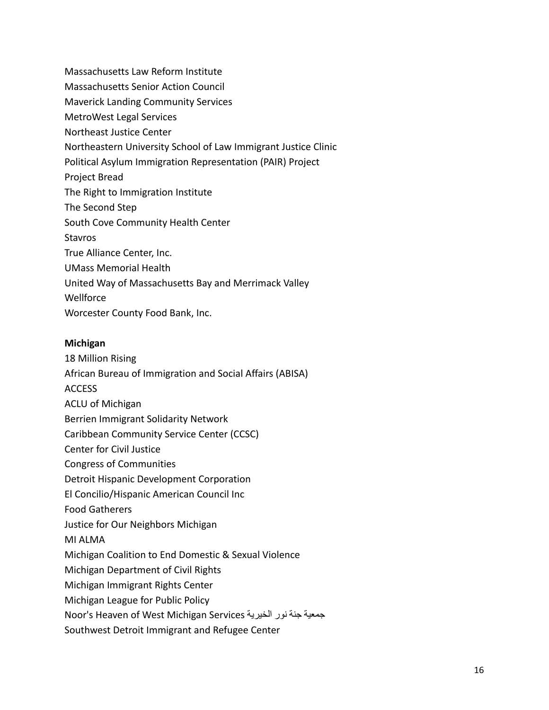- Massachusetts Law Reform Institute Massachusetts Senior Action Council Maverick Landing Community Services MetroWest Legal Services Northeast Justice Center Northeastern University School of Law Immigrant Justice Clinic Political Asylum Immigration Representation (PAIR) Project Project Bread The Right to Immigration Institute The Second Step South Cove Community Health Center Stavros True Alliance Center, Inc. UMass Memorial Health United Way of Massachusetts Bay and Merrimack Valley **Wellforce**
- Worcester County Food Bank, Inc.

## **Michigan**

- 18 Million Rising
- African Bureau of Immigration and Social Affairs (ABISA)
- ACCESS
- ACLU of Michigan
- Berrien Immigrant Solidarity Network
- Caribbean Community Service Center (CCSC)
- Center for Civil Justice
- Congress of Communities
- Detroit Hispanic Development Corporation
- El Concilio/Hispanic American Council Inc
- Food Gatherers
- Justice for Our Neighbors Michigan
- MI ALMA
- Michigan Coalition to End Domestic & Sexual Violence
- Michigan Department of Civil Rights
- Michigan Immigrant Rights Center
- Michigan League for Public Policy
- Noor's Heaven of West Michigan Services الخيرية نور جنة جمعية
- Southwest Detroit Immigrant and Refugee Center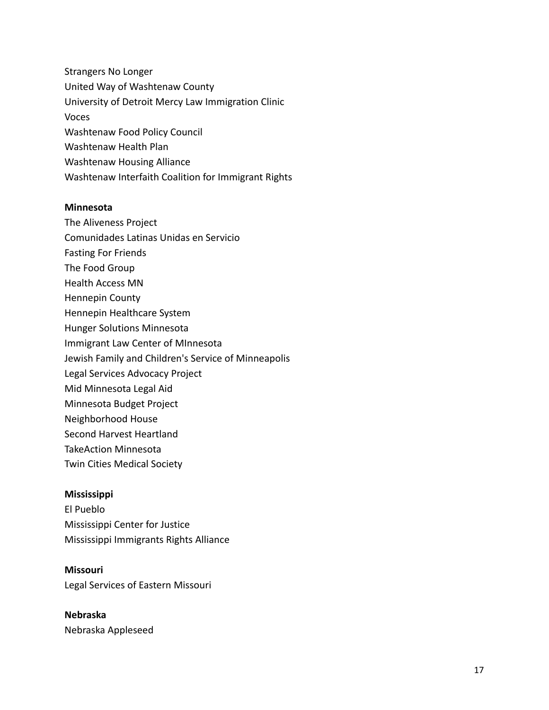Strangers No Longer United Way of Washtenaw County University of Detroit Mercy Law Immigration Clinic Voces Washtenaw Food Policy Council Washtenaw Health Plan Washtenaw Housing Alliance Washtenaw Interfaith Coalition for Immigrant Rights

#### **Minnesota**

- The Aliveness Project
- Comunidades Latinas Unidas en Servicio
- Fasting For Friends
- The Food Group
- Health Access MN
- Hennepin County
- Hennepin Healthcare System
- Hunger Solutions Minnesota
- Immigrant Law Center of MInnesota
- Jewish Family and Children's Service of Minneapolis
- Legal Services Advocacy Project
- Mid Minnesota Legal Aid
- Minnesota Budget Project
- Neighborhood House
- Second Harvest Heartland
- TakeAction Minnesota
- Twin Cities Medical Society

#### **Mississippi**

El Pueblo Mississippi Center for Justice Mississippi Immigrants Rights Alliance

#### **Missouri**

Legal Services of Eastern Missouri

**Nebraska** Nebraska Appleseed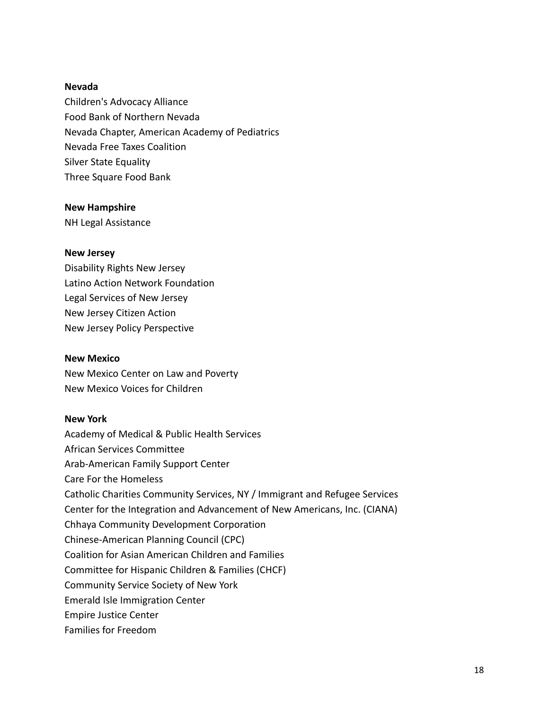### **Nevada**

Children's Advocacy Alliance Food Bank of Northern Nevada Nevada Chapter, American Academy of Pediatrics Nevada Free Taxes Coalition Silver State Equality Three Square Food Bank

#### **New Hampshire**

NH Legal Assistance

#### **New Jersey**

Disability Rights New Jersey Latino Action Network Foundation Legal Services of New Jersey New Jersey Citizen Action New Jersey Policy Perspective

#### **New Mexico**

New Mexico Center on Law and Poverty New Mexico Voices for Children

### **New York**

Academy of Medical & Public Health Services African Services Committee Arab-American Family Support Center Care For the Homeless Catholic Charities Community Services, NY / Immigrant and Refugee Services Center for the Integration and Advancement of New Americans, Inc. (CIANA) Chhaya Community Development Corporation Chinese-American Planning Council (CPC) Coalition for Asian American Children and Families Committee for Hispanic Children & Families (CHCF) Community Service Society of New York Emerald Isle Immigration Center Empire Justice Center Families for Freedom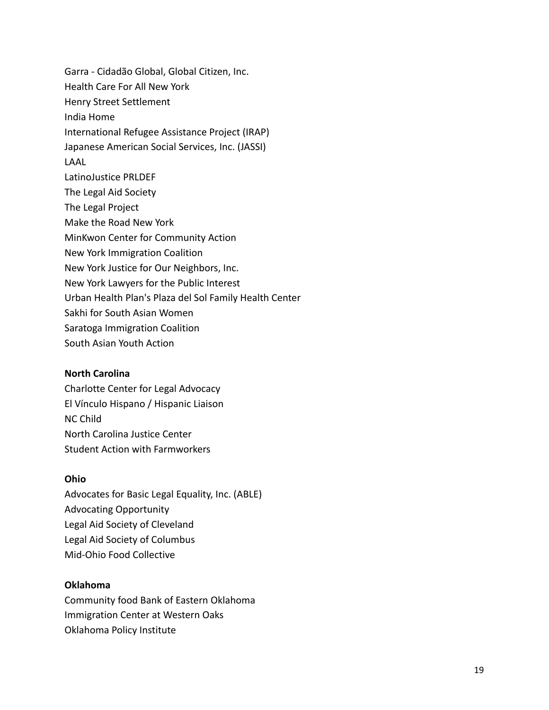Garra - Cidadão Global, Global Citizen, Inc. Health Care For All New York Henry Street Settlement India Home International Refugee Assistance Project (IRAP) Japanese American Social Services, Inc. (JASSI) LAAL LatinoJustice PRLDEF The Legal Aid Society The Legal Project Make the Road New York MinKwon Center for Community Action New York Immigration Coalition New York Justice for Our Neighbors, Inc. New York Lawyers for the Public Interest Urban Health Plan's Plaza del Sol Family Health Center Sakhi for South Asian Women Saratoga Immigration Coalition South Asian Youth Action

### **North Carolina**

Charlotte Center for Legal Advocacy El Vínculo Hispano / Hispanic Liaison NC Child North Carolina Justice Center Student Action with Farmworkers

### **Ohio**

Advocates for Basic Legal Equality, Inc. (ABLE) Advocating Opportunity Legal Aid Society of Cleveland Legal Aid Society of Columbus Mid-Ohio Food Collective

### **Oklahoma**

Community food Bank of Eastern Oklahoma Immigration Center at Western Oaks Oklahoma Policy Institute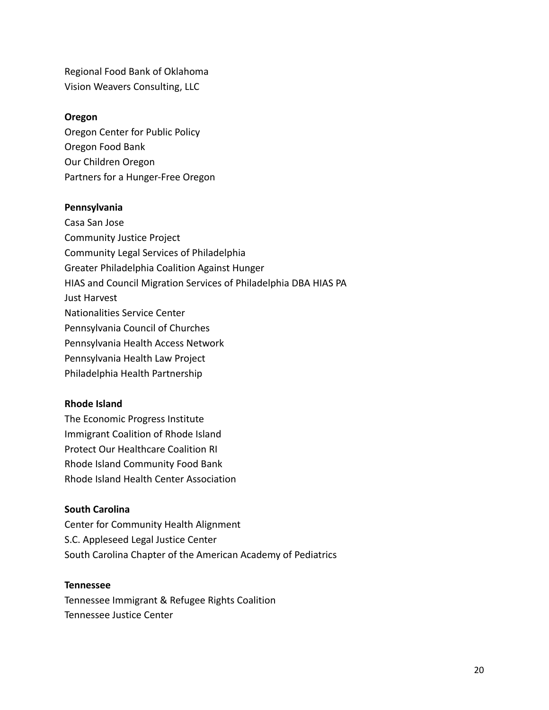Regional Food Bank of Oklahoma Vision Weavers Consulting, LLC

#### **Oregon**

Oregon Center for Public Policy Oregon Food Bank Our Children Oregon Partners for a Hunger-Free Oregon

#### **Pennsylvania**

Casa San Jose Community Justice Project Community Legal Services of Philadelphia Greater Philadelphia Coalition Against Hunger HIAS and Council Migration Services of Philadelphia DBA HIAS PA Just Harvest Nationalities Service Center Pennsylvania Council of Churches Pennsylvania Health Access Network Pennsylvania Health Law Project Philadelphia Health Partnership

### **Rhode Island**

The Economic Progress Institute Immigrant Coalition of Rhode Island Protect Our Healthcare Coalition RI Rhode Island Community Food Bank Rhode Island Health Center Association

### **South Carolina**

Center for Community Health Alignment S.C. Appleseed Legal Justice Center South Carolina Chapter of the American Academy of Pediatrics

#### **Tennessee**

Tennessee Immigrant & Refugee Rights Coalition Tennessee Justice Center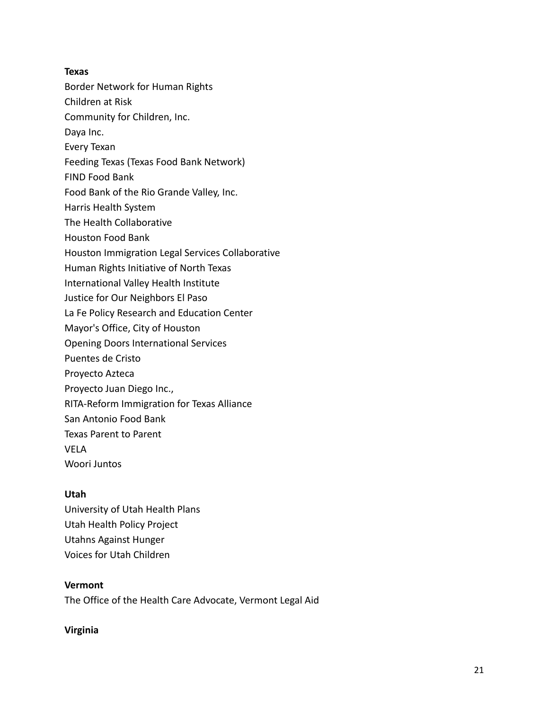## **Texas**

Border Network for Human Rights

Children at Risk

Community for Children, Inc.

- Daya Inc.
- Every Texan
- Feeding Texas (Texas Food Bank Network)
- FIND Food Bank
- Food Bank of the Rio Grande Valley, Inc.
- Harris Health System
- The Health Collaborative
- Houston Food Bank
- Houston Immigration Legal Services Collaborative
- Human Rights Initiative of North Texas
- International Valley Health Institute
- Justice for Our Neighbors El Paso
- La Fe Policy Research and Education Center
- Mayor's Office, City of Houston
- Opening Doors International Services
- Puentes de Cristo
- Proyecto Azteca
- Proyecto Juan Diego Inc.,
- RITA-Reform Immigration for Texas Alliance
- San Antonio Food Bank
- Texas Parent to Parent
- VELA
- Woori Juntos

# **Utah**

University of Utah Health Plans Utah Health Policy Project Utahns Against Hunger Voices for Utah Children

# **Vermont**

The Office of the Health Care Advocate, Vermont Legal Aid

# **Virginia**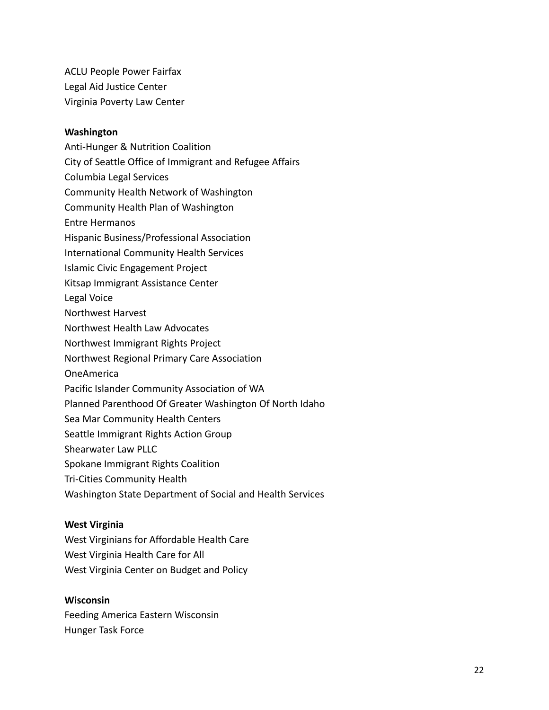ACLU People Power Fairfax Legal Aid Justice Center Virginia Poverty Law Center

#### **Washington**

- Anti-Hunger & Nutrition Coalition
- City of Seattle Office of Immigrant and Refugee Affairs
- Columbia Legal Services
- Community Health Network of Washington
- Community Health Plan of Washington
- Entre Hermanos
- Hispanic Business/Professional Association
- International Community Health Services
- Islamic Civic Engagement Project
- Kitsap Immigrant Assistance Center
- Legal Voice
- Northwest Harvest
- Northwest Health Law Advocates
- Northwest Immigrant Rights Project
- Northwest Regional Primary Care Association
- OneAmerica
- Pacific Islander Community Association of WA
- Planned Parenthood Of Greater Washington Of North Idaho
- Sea Mar Community Health Centers
- Seattle Immigrant Rights Action Group
- Shearwater Law PLLC
- Spokane Immigrant Rights Coalition
- Tri-Cities Community Health
- Washington State Department of Social and Health Services

### **West Virginia**

West Virginians for Affordable Health Care West Virginia Health Care for All West Virginia Center on Budget and Policy

#### **Wisconsin**

Feeding America Eastern Wisconsin Hunger Task Force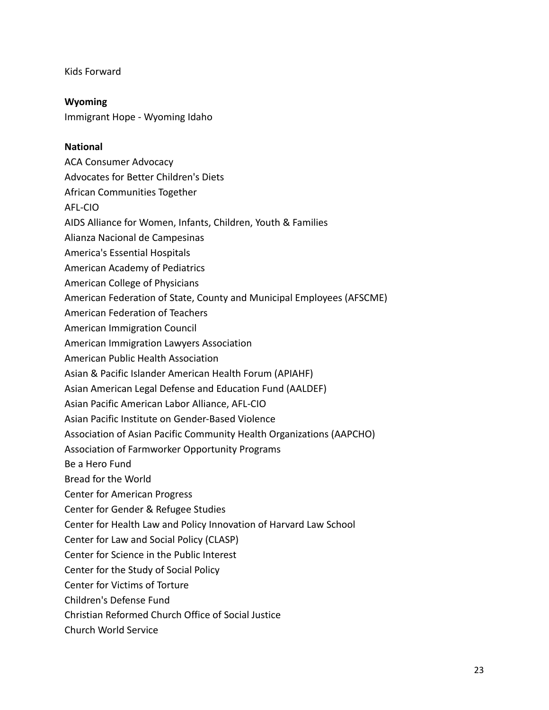Kids Forward

**Wyoming** Immigrant Hope - Wyoming Idaho

## **National**

- ACA Consumer Advocacy
- Advocates for Better Children's Diets
- African Communities Together
- AFL-CIO
- AIDS Alliance for Women, Infants, Children, Youth & Families
- Alianza Nacional de Campesinas
- America's Essential Hospitals
- American Academy of Pediatrics
- American College of Physicians
- American Federation of State, County and Municipal Employees (AFSCME)
- American Federation of Teachers
- American Immigration Council
- American Immigration Lawyers Association
- American Public Health Association
- Asian & Pacific Islander American Health Forum (APIAHF)
- Asian American Legal Defense and Education Fund (AALDEF)
- Asian Pacific American Labor Alliance, AFL-CIO
- Asian Pacific Institute on Gender-Based Violence
- Association of Asian Pacific Community Health Organizations (AAPCHO)
- Association of Farmworker Opportunity Programs
- Be a Hero Fund
- Bread for the World
- Center for American Progress
- Center for Gender & Refugee Studies
- Center for Health Law and Policy Innovation of Harvard Law School
- Center for Law and Social Policy (CLASP)
- Center for Science in the Public Interest
- Center for the Study of Social Policy
- Center for Victims of Torture
- Children's Defense Fund
- Christian Reformed Church Office of Social Justice
- Church World Service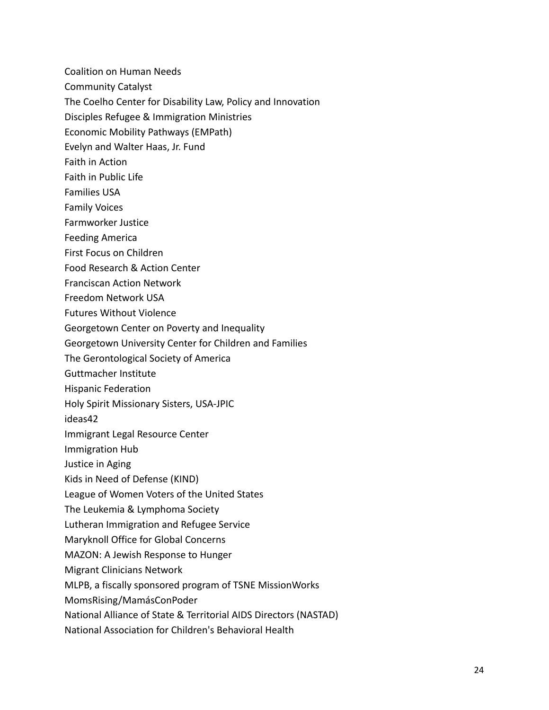Coalition on Human Needs

- Community Catalyst
- The Coelho Center for Disability Law, Policy and Innovation
- Disciples Refugee & Immigration Ministries
- Economic Mobility Pathways (EMPath)
- Evelyn and Walter Haas, Jr. Fund
- Faith in Action
- Faith in Public Life
- Families USA
- Family Voices
- Farmworker Justice
- Feeding America
- First Focus on Children
- Food Research & Action Center
- Franciscan Action Network
- Freedom Network USA
- Futures Without Violence
- Georgetown Center on Poverty and Inequality
- Georgetown University Center for Children and Families
- The Gerontological Society of America
- Guttmacher Institute
- Hispanic Federation
- Holy Spirit Missionary Sisters, USA-JPIC
- ideas42
- Immigrant Legal Resource Center
- Immigration Hub
- Justice in Aging
- Kids in Need of Defense (KIND)
- League of Women Voters of the United States
- The Leukemia & Lymphoma Society
- Lutheran Immigration and Refugee Service
- Maryknoll Office for Global Concerns
- MAZON: A Jewish Response to Hunger
- Migrant Clinicians Network
- MLPB, a fiscally sponsored program of TSNE MissionWorks
- MomsRising/MamásConPoder
- National Alliance of State & Territorial AIDS Directors (NASTAD)
- National Association for Children's Behavioral Health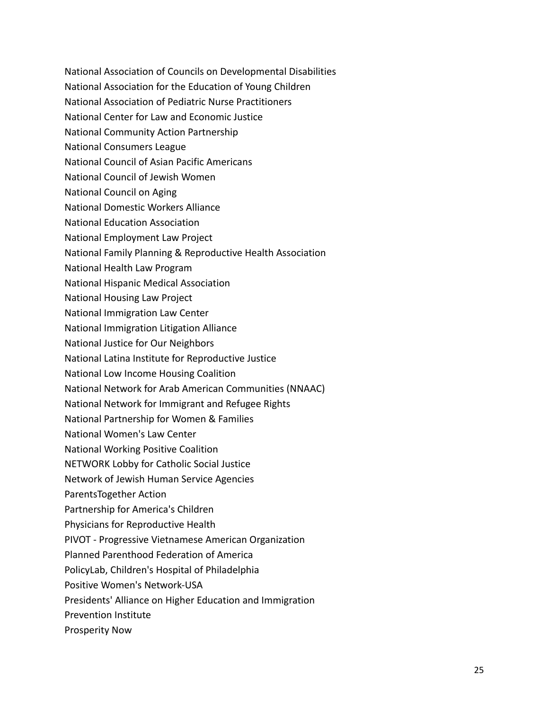- National Association of Councils on Developmental Disabilities
- National Association for the Education of Young Children
- National Association of Pediatric Nurse Practitioners
- National Center for Law and Economic Justice
- National Community Action Partnership
- National Consumers League
- National Council of Asian Pacific Americans
- National Council of Jewish Women
- National Council on Aging
- National Domestic Workers Alliance
- National Education Association
- National Employment Law Project
- National Family Planning & Reproductive Health Association
- National Health Law Program
- National Hispanic Medical Association
- National Housing Law Project
- National Immigration Law Center
- National Immigration Litigation Alliance
- National Justice for Our Neighbors
- National Latina Institute for Reproductive Justice
- National Low Income Housing Coalition
- National Network for Arab American Communities (NNAAC)
- National Network for Immigrant and Refugee Rights
- National Partnership for Women & Families
- National Women's Law Center
- National Working Positive Coalition
- NETWORK Lobby for Catholic Social Justice
- Network of Jewish Human Service Agencies
- ParentsTogether Action
- Partnership for America's Children
- Physicians for Reproductive Health
- PIVOT Progressive Vietnamese American Organization
- Planned Parenthood Federation of America
- PolicyLab, Children's Hospital of Philadelphia
- Positive Women's Network-USA
- Presidents' Alliance on Higher Education and Immigration
- Prevention Institute
- Prosperity Now